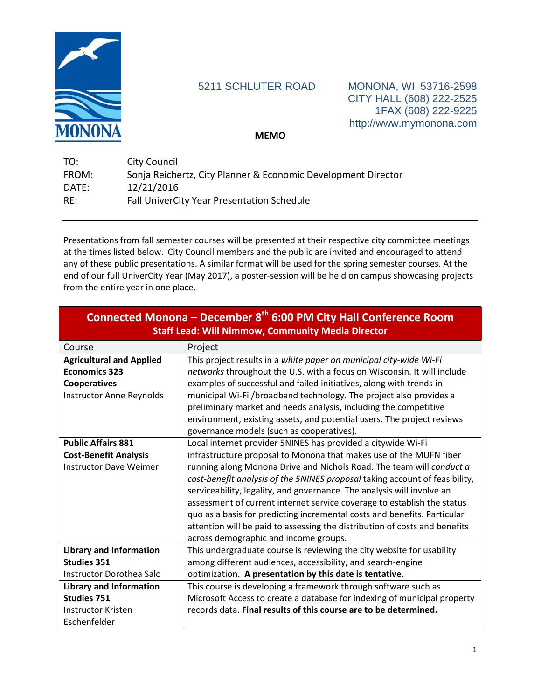

5211 SCHLUTER ROAD MONONA, WI 53716-2598 CITY HALL (608) 222-2525 1FAX (608) 222-9225 http://www.mymonona.com

**MEMO**

| TO:   | City Council                                                  |
|-------|---------------------------------------------------------------|
| FROM: | Sonja Reichertz, City Planner & Economic Development Director |
| DATE: | 12/21/2016                                                    |
| RE:   | <b>Fall UniverCity Year Presentation Schedule</b>             |

Presentations from fall semester courses will be presented at their respective city committee meetings at the times listed below. City Council members and the public are invited and encouraged to attend any of these public presentations. A similar format will be used for the spring semester courses. At the end of our full UniverCity Year (May 2017), a poster-session will be held on campus showcasing projects from the entire year in one place.

| Connected Monona - December 8 <sup>th</sup> 6:00 PM City Hall Conference Room<br><b>Staff Lead: Will Nimmow, Community Media Director</b> |                                                                             |  |
|-------------------------------------------------------------------------------------------------------------------------------------------|-----------------------------------------------------------------------------|--|
| Course                                                                                                                                    | Project                                                                     |  |
| <b>Agricultural and Applied</b>                                                                                                           | This project results in a white paper on municipal city-wide Wi-Fi          |  |
| <b>Economics 323</b>                                                                                                                      | networks throughout the U.S. with a focus on Wisconsin. It will include     |  |
| Cooperatives                                                                                                                              | examples of successful and failed initiatives, along with trends in         |  |
| Instructor Anne Reynolds                                                                                                                  | municipal Wi-Fi /broadband technology. The project also provides a          |  |
|                                                                                                                                           | preliminary market and needs analysis, including the competitive            |  |
|                                                                                                                                           | environment, existing assets, and potential users. The project reviews      |  |
|                                                                                                                                           | governance models (such as cooperatives).                                   |  |
| <b>Public Affairs 881</b>                                                                                                                 | Local internet provider 5NINES has provided a citywide Wi-Fi                |  |
| <b>Cost-Benefit Analysis</b>                                                                                                              | infrastructure proposal to Monona that makes use of the MUFN fiber          |  |
| <b>Instructor Dave Weimer</b>                                                                                                             | running along Monona Drive and Nichols Road. The team will conduct a        |  |
|                                                                                                                                           | cost-benefit analysis of the 5NINES proposal taking account of feasibility, |  |
|                                                                                                                                           | serviceability, legality, and governance. The analysis will involve an      |  |
|                                                                                                                                           | assessment of current internet service coverage to establish the status     |  |
|                                                                                                                                           | quo as a basis for predicting incremental costs and benefits. Particular    |  |
|                                                                                                                                           | attention will be paid to assessing the distribution of costs and benefits  |  |
|                                                                                                                                           | across demographic and income groups.                                       |  |
| <b>Library and Information</b>                                                                                                            | This undergraduate course is reviewing the city website for usability       |  |
| <b>Studies 351</b>                                                                                                                        | among different audiences, accessibility, and search-engine                 |  |
| Instructor Dorothea Salo                                                                                                                  | optimization. A presentation by this date is tentative.                     |  |
| <b>Library and Information</b>                                                                                                            | This course is developing a framework through software such as              |  |
| <b>Studies 751</b>                                                                                                                        | Microsoft Access to create a database for indexing of municipal property    |  |
| Instructor Kristen                                                                                                                        | records data. Final results of this course are to be determined.            |  |
| Eschenfelder                                                                                                                              |                                                                             |  |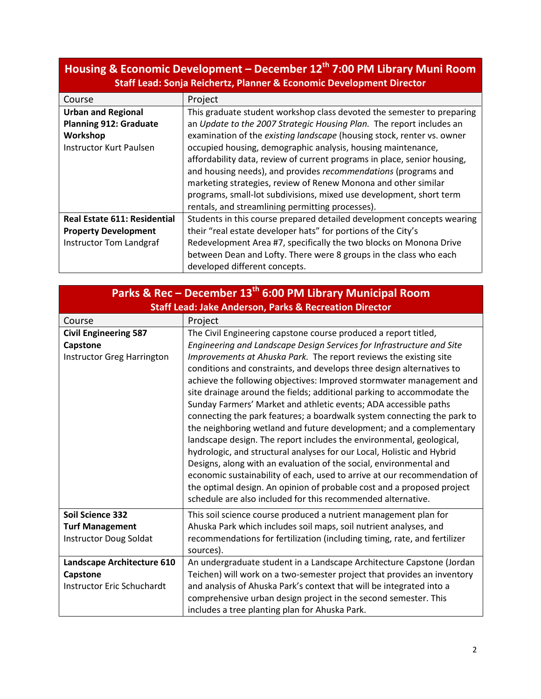| Staff Lead: Sonja Reichertz, Planner & Economic Development Director                              |                                                                                                                                                                                                                                                                                                                                                                                                                                                                                                                                                                                                                                     |  |  |
|---------------------------------------------------------------------------------------------------|-------------------------------------------------------------------------------------------------------------------------------------------------------------------------------------------------------------------------------------------------------------------------------------------------------------------------------------------------------------------------------------------------------------------------------------------------------------------------------------------------------------------------------------------------------------------------------------------------------------------------------------|--|--|
| Course                                                                                            | Project                                                                                                                                                                                                                                                                                                                                                                                                                                                                                                                                                                                                                             |  |  |
| <b>Urban and Regional</b><br><b>Planning 912: Graduate</b><br>Workshop<br>Instructor Kurt Paulsen | This graduate student workshop class devoted the semester to preparing<br>an Update to the 2007 Strategic Housing Plan. The report includes an<br>examination of the existing landscape (housing stock, renter vs. owner<br>occupied housing, demographic analysis, housing maintenance,<br>affordability data, review of current programs in place, senior housing,<br>and housing needs), and provides recommendations (programs and<br>marketing strategies, review of Renew Monona and other similar<br>programs, small-lot subdivisions, mixed use development, short term<br>rentals, and streamlining permitting processes). |  |  |
| <b>Real Estate 611: Residential</b>                                                               | Students in this course prepared detailed development concepts wearing                                                                                                                                                                                                                                                                                                                                                                                                                                                                                                                                                              |  |  |
| <b>Property Development</b>                                                                       | their "real estate developer hats" for portions of the City's                                                                                                                                                                                                                                                                                                                                                                                                                                                                                                                                                                       |  |  |
| <b>Instructor Tom Landgraf</b>                                                                    | Redevelopment Area #7, specifically the two blocks on Monona Drive                                                                                                                                                                                                                                                                                                                                                                                                                                                                                                                                                                  |  |  |
|                                                                                                   | between Dean and Lofty. There were 8 groups in the class who each<br>developed different concepts.                                                                                                                                                                                                                                                                                                                                                                                                                                                                                                                                  |  |  |
|                                                                                                   |                                                                                                                                                                                                                                                                                                                                                                                                                                                                                                                                                                                                                                     |  |  |

## **Housing & Economic Development – December 12th 7:00 PM Library Muni Room**